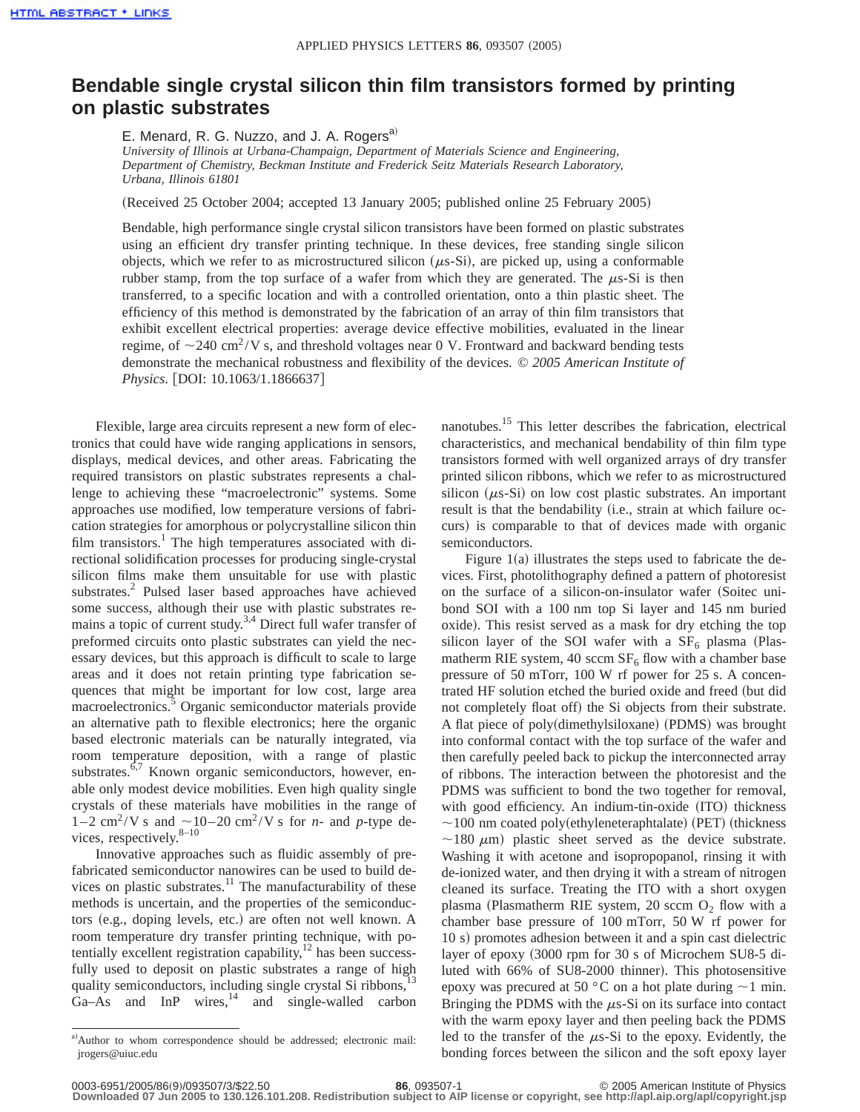## **Bendable single crystal silicon thin film transistors formed by printing on plastic substrates**

E. Menard, R. G. Nuzzo, and J. A. Rogers<sup>a)</sup>

*University of Illinois at Urbana-Champaign, Department of Materials Science and Engineering, Department of Chemistry, Beckman Institute and Frederick Seitz Materials Research Laboratory, Urbana, Illinois 61801*

(Received 25 October 2004; accepted 13 January 2005; published online 25 February 2005)

Bendable, high performance single crystal silicon transistors have been formed on plastic substrates using an efficient dry transfer printing technique. In these devices, free standing single silicon objects, which we refer to as microstructured silicon  $(\mu s-Si)$ , are picked up, using a conformable rubber stamp, from the top surface of a wafer from which they are generated. The  $\mu$ s-Si is then transferred, to a specific location and with a controlled orientation, onto a thin plastic sheet. The efficiency of this method is demonstrated by the fabrication of an array of thin film transistors that exhibit excellent electrical properties: average device effective mobilities, evaluated in the linear regime, of  $\sim$  240 cm<sup>2</sup>/V s, and threshold voltages near 0 V. Frontward and backward bending tests demonstrate the mechanical robustness and flexibility of the devices. © *2005 American Institute of Physics.* [DOI: 10.1063/1.1866637]

Flexible, large area circuits represent a new form of electronics that could have wide ranging applications in sensors, displays, medical devices, and other areas. Fabricating the required transistors on plastic substrates represents a challenge to achieving these "macroelectronic" systems. Some approaches use modified, low temperature versions of fabrication strategies for amorphous or polycrystalline silicon thin film transistors.<sup>1</sup> The high temperatures associated with directional solidification processes for producing single-crystal silicon films make them unsuitable for use with plastic substrates.<sup>2</sup> Pulsed laser based approaches have achieved some success, although their use with plastic substrates remains a topic of current study.<sup>3,4</sup> Direct full wafer transfer of preformed circuits onto plastic substrates can yield the necessary devices, but this approach is difficult to scale to large areas and it does not retain printing type fabrication sequences that might be important for low cost, large area macroelectronics.<sup>5</sup> Organic semiconductor materials provide an alternative path to flexible electronics; here the organic based electronic materials can be naturally integrated, via room temperature deposition, with a range of plastic substrates.<sup>6,7</sup> Known organic semiconductors, however, enable only modest device mobilities. Even high quality single crystals of these materials have mobilities in the range of  $1-2$  cm<sup>2</sup>/V s and  $\sim$ 10–20 cm<sup>2</sup>/V s for *n*- and *p*-type devices, respectively. $8-10$ 

Innovative approaches such as fluidic assembly of prefabricated semiconductor nanowires can be used to build devices on plastic substrates. $11$  The manufacturability of these methods is uncertain, and the properties of the semiconductors (e.g., doping levels, etc.) are often not well known. A room temperature dry transfer printing technique, with potentially excellent registration capability, $12$  has been successfully used to deposit on plastic substrates a range of high quality semiconductors, including single crystal Si ribbons,<sup>13</sup> Ga–As and InP wires,<sup>14</sup> and single-walled carbon nanotubes.<sup>15</sup> This letter describes the fabrication, electrical characteristics, and mechanical bendability of thin film type transistors formed with well organized arrays of dry transfer printed silicon ribbons, which we refer to as microstructured silicon  $(\mu s-Si)$  on low cost plastic substrates. An important result is that the bendability (i.e., strain at which failure occurs) is comparable to that of devices made with organic semiconductors.

Figure  $1(a)$  illustrates the steps used to fabricate the devices. First, photolithography defined a pattern of photoresist on the surface of a silicon-on-insulator wafer (Soitec unibond SOI with a 100 nm top Si layer and 145 nm buried oxide). This resist served as a mask for dry etching the top silicon layer of the SOI wafer with a  $SF<sub>6</sub>$  plasma (Plasmatherm RIE system, 40 sccm  $SF<sub>6</sub>$  flow with a chamber base pressure of 50 mTorr, 100 W rf power for 25 s. A concentrated HF solution etched the buried oxide and freed (but did not completely float off) the Si objects from their substrate. A flat piece of poly(dimethylsiloxane) (PDMS) was brought into conformal contact with the top surface of the wafer and then carefully peeled back to pickup the interconnected array of ribbons. The interaction between the photoresist and the PDMS was sufficient to bond the two together for removal, with good efficiency. An indium-tin-oxide (ITO) thickness  $\sim$ 100 nm coated poly(ethyleneteraphtalate) (PET) (thickness  $\sim$ 180  $\mu$ m) plastic sheet served as the device substrate. Washing it with acetone and isopropopanol, rinsing it with de-ionized water, and then drying it with a stream of nitrogen cleaned its surface. Treating the ITO with a short oxygen plasma (Plasmatherm RIE system, 20 sccm  $O<sub>2</sub>$  flow with a chamber base pressure of 100 mTorr, 50 W rf power for 10 s) promotes adhesion between it and a spin cast dielectric layer of epoxy  $(3000$  rpm for 30 s of Microchem SU8-5 diluted with 66% of SU8-2000 thinner). This photosensitive epoxy was precured at 50 °C on a hot plate during  $\sim$ 1 min. Bringing the PDMS with the  $\mu$ s-Si on its surface into contact with the warm epoxy layer and then peeling back the PDMS led to the transfer of the  $\mu$ s-Si to the epoxy. Evidently, the bonding forces between the silicon and the soft epoxy layer

a)Author to whom correspondence should be addressed; electronic mail: jrogers@uiuc.edu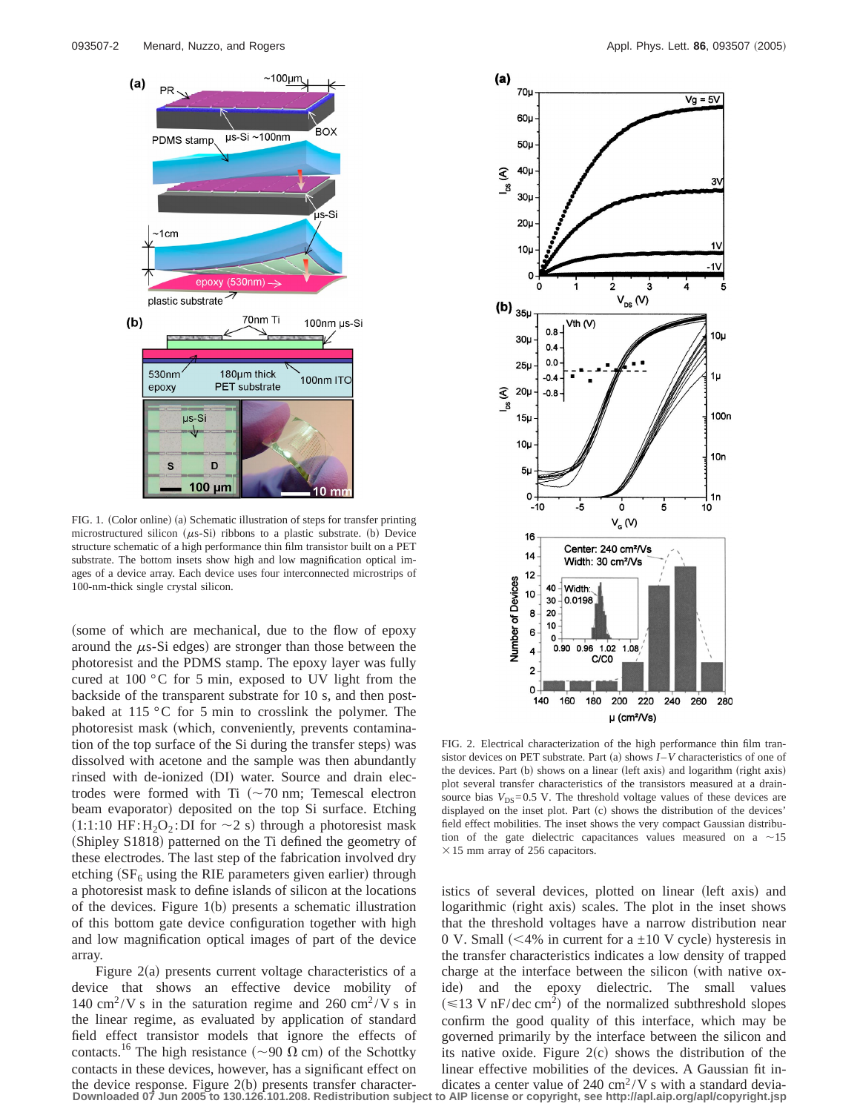

FIG. 1. (Color online) (a) Schematic illustration of steps for transfer printing microstructured silicon ( $\mu$ s-Si) ribbons to a plastic substrate. (b) Device structure schematic of a high performance thin film transistor built on a PET substrate. The bottom insets show high and low magnification optical images of a device array. Each device uses four interconnected microstrips of 100-nm-thick single crystal silicon.

(some of which are mechanical, due to the flow of epoxy around the  $\mu$ s-Si edges) are stronger than those between the photoresist and the PDMS stamp. The epoxy layer was fully cured at 100 °C for 5 min, exposed to UV light from the backside of the transparent substrate for 10 s, and then postbaked at 115 °C for 5 min to crosslink the polymer. The photoresist mask (which, conveniently, prevents contamination of the top surface of the Si during the transfer steps) was dissolved with acetone and the sample was then abundantly rinsed with de-ionized (DI) water. Source and drain electrodes were formed with Ti  $({\sim}70 \text{ nm};$  Temescal electron beam evaporator) deposited on the top Si surface. Etching  $(1:1:10 \text{ HF}:H_2O_2:DI \text{ for } \sim 2 \text{ s})$  through a photoresist mask (Shipley S1818) patterned on the Ti defined the geometry of these electrodes. The last step of the fabrication involved dry etching  $(SF<sub>6</sub> using the RIE parameters given earlier) through$ a photoresist mask to define islands of silicon at the locations of the devices. Figure  $1(b)$  presents a schematic illustration of this bottom gate device configuration together with high and low magnification optical images of part of the device array.

Figure  $2(a)$  presents current voltage characteristics of a device that shows an effective device mobility of 140 cm<sup>2</sup>/V s in the saturation regime and 260 cm<sup>2</sup>/V s in the linear regime, as evaluated by application of standard field effect transistor models that ignore the effects of contacts.<sup>16</sup> The high resistance ( $\sim$ 90  $\Omega$  cm) of the Schottky contacts in these devices, however, has a significant effect on the device response. Figure  $2(b)$  presents transfer character-



FIG. 2. Electrical characterization of the high performance thin film transistor devices on PET substrate. Part (a) shows  $I-V$  characteristics of one of the devices. Part  $(b)$  shows on a linear (left axis) and logarithm (right axis) plot several transfer characteristics of the transistors measured at a drainsource bias  $V_{DS}$ =0.5 V. The threshold voltage values of these devices are displayed on the inset plot. Part (c) shows the distribution of the devices' field effect mobilities. The inset shows the very compact Gaussian distribution of the gate dielectric capacitances values measured on a  $\sim$ 15  $\times$  15 mm array of 256 capacitors.

istics of several devices, plotted on linear (left axis) and logarithmic (right axis) scales. The plot in the inset shows that the threshold voltages have a narrow distribution near 0 V. Small (<4% in current for a  $\pm$ 10 V cycle) hysteresis in the transfer characteristics indicates a low density of trapped charge at the interface between the silicon (with native oxide) and the epoxy dielectric. The small values  $(\leq 13 \text{ V nF/dec cm}^2)$  of the normalized subthreshold slopes confirm the good quality of this interface, which may be governed primarily by the interface between the silicon and its native oxide. Figure  $2(c)$  shows the distribution of the linear effective mobilities of the devices. A Gaussian fit indicates a center value of 240 cm<sup>2</sup>/V s with a standard devia-

**Downloaded 07 Jun 2005 to 130.126.101.208. Redistribution subject to AIP license or copyright, see http://apl.aip.org/apl/copyright.jsp**